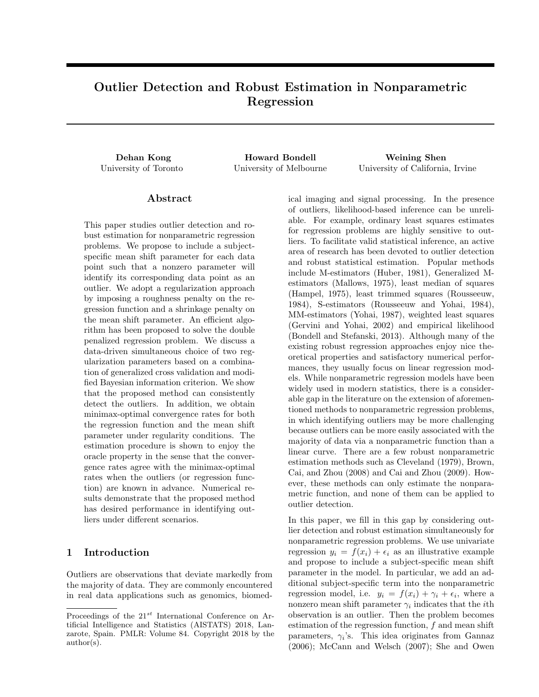# Outlier Detection and Robust Estimation in Nonparametric Regression

Dehan Kong Howard Bondell Weining Shen

University of Toronto University of Melbourne University of California, Irvine

## Abstract

This paper studies outlier detection and robust estimation for nonparametric regression problems. We propose to include a subjectspecific mean shift parameter for each data point such that a nonzero parameter will identify its corresponding data point as an outlier. We adopt a regularization approach by imposing a roughness penalty on the regression function and a shrinkage penalty on the mean shift parameter. An efficient algorithm has been proposed to solve the double penalized regression problem. We discuss a data-driven simultaneous choice of two regularization parameters based on a combination of generalized cross validation and modified Bayesian information criterion. We show that the proposed method can consistently detect the outliers. In addition, we obtain minimax-optimal convergence rates for both the regression function and the mean shift parameter under regularity conditions. The estimation procedure is shown to enjoy the oracle property in the sense that the convergence rates agree with the minimax-optimal rates when the outliers (or regression function) are known in advance. Numerical results demonstrate that the proposed method has desired performance in identifying outliers under different scenarios.

## 1 Introduction

Outliers are observations that deviate markedly from the majority of data. They are commonly encountered in real data applications such as genomics, biomedical imaging and signal processing. In the presence of outliers, likelihood-based inference can be unreliable. For example, ordinary least squares estimates for regression problems are highly sensitive to outliers. To facilitate valid statistical inference, an active area of research has been devoted to outlier detection and robust statistical estimation. Popular methods include M-estimators (Huber, 1981), Generalized Mestimators (Mallows, 1975), least median of squares (Hampel, 1975), least trimmed squares (Rousseeuw, 1984), S-estimators (Rousseeuw and Yohai, 1984), MM-estimators (Yohai, 1987), weighted least squares (Gervini and Yohai, 2002) and empirical likelihood (Bondell and Stefanski, 2013). Although many of the existing robust regression approaches enjoy nice theoretical properties and satisfactory numerical performances, they usually focus on linear regression models. While nonparametric regression models have been widely used in modern statistics, there is a considerable gap in the literature on the extension of aforementioned methods to nonparametric regression problems, in which identifying outliers may be more challenging because outliers can be more easily associated with the majority of data via a nonparametric function than a linear curve. There are a few robust nonparametric estimation methods such as Cleveland (1979), Brown, Cai, and Zhou (2008) and Cai and Zhou (2009). However, these methods can only estimate the nonparametric function, and none of them can be applied to outlier detection.

In this paper, we fill in this gap by considering outlier detection and robust estimation simultaneously for nonparametric regression problems. We use univariate regression  $y_i = f(x_i) + \epsilon_i$  as an illustrative example and propose to include a subject-specific mean shift parameter in the model. In particular, we add an additional subject-specific term into the nonparametric regression model, i.e.  $y_i = f(x_i) + \gamma_i + \epsilon_i$ , where a nonzero mean shift parameter  $\gamma_i$  indicates that the *i*<sup>th</sup> observation is an outlier. Then the problem becomes estimation of the regression function,  $f$  and mean shift parameters,  $\gamma_i$ 's. This idea originates from Gannaz (2006); McCann and Welsch (2007); She and Owen

Proceedings of the  $21^{st}$  International Conference on Artificial Intelligence and Statistics (AISTATS) 2018, Lanzarote, Spain. PMLR: Volume 84. Copyright 2018 by the author(s).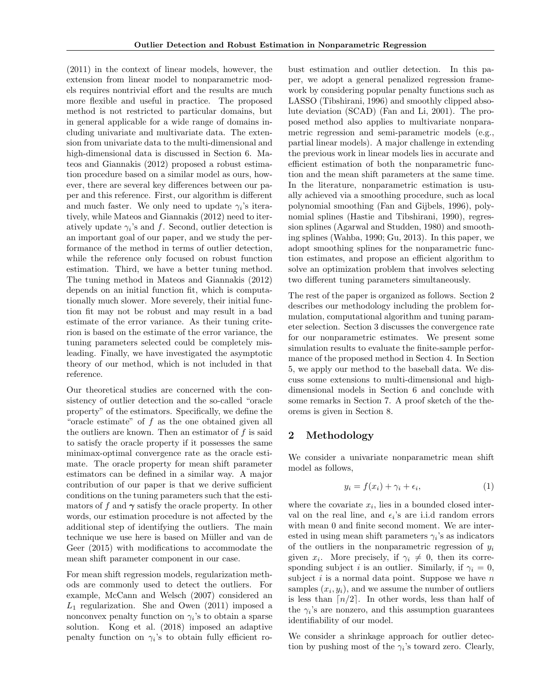(2011) in the context of linear models, however, the extension from linear model to nonparametric models requires nontrivial effort and the results are much more flexible and useful in practice. The proposed method is not restricted to particular domains, but in general applicable for a wide range of domains including univariate and multivariate data. The extension from univariate data to the multi-dimensional and high-dimensional data is discussed in Section 6. Mateos and Giannakis (2012) proposed a robust estimation procedure based on a similar model as ours, however, there are several key differences between our paper and this reference. First, our algorithm is different and much faster. We only need to update  $\gamma_i$ 's iteratively, while Mateos and Giannakis (2012) need to iteratively update  $\gamma_i$ 's and f. Second, outlier detection is an important goal of our paper, and we study the performance of the method in terms of outlier detection, while the reference only focused on robust function estimation. Third, we have a better tuning method. The tuning method in Mateos and Giannakis (2012) depends on an initial function fit, which is computationally much slower. More severely, their initial function fit may not be robust and may result in a bad estimate of the error variance. As their tuning criterion is based on the estimate of the error variance, the tuning parameters selected could be completely misleading. Finally, we have investigated the asymptotic theory of our method, which is not included in that reference.

Our theoretical studies are concerned with the consistency of outlier detection and the so-called "oracle property" of the estimators. Specifically, we define the "oracle estimate" of  $f$  as the one obtained given all the outliers are known. Then an estimator of  $f$  is said to satisfy the oracle property if it possesses the same minimax-optimal convergence rate as the oracle estimate. The oracle property for mean shift parameter estimators can be defined in a similar way. A major contribution of our paper is that we derive sufficient conditions on the tuning parameters such that the estimators of f and  $\gamma$  satisfy the oracle property. In other words, our estimation procedure is not affected by the additional step of identifying the outliers. The main technique we use here is based on Müller and van de Geer (2015) with modifications to accommodate the mean shift parameter component in our case.

For mean shift regression models, regularization methods are commonly used to detect the outliers. For example, McCann and Welsch (2007) considered an  $L_1$  regularization. She and Owen (2011) imposed a nonconvex penalty function on  $\gamma_i$ 's to obtain a sparse solution. Kong et al. (2018) imposed an adaptive penalty function on  $\gamma_i$ 's to obtain fully efficient ro-

bust estimation and outlier detection. In this paper, we adopt a general penalized regression framework by considering popular penalty functions such as LASSO (Tibshirani, 1996) and smoothly clipped absolute deviation (SCAD) (Fan and Li, 2001). The proposed method also applies to multivariate nonparametric regression and semi-parametric models (e.g., partial linear models). A major challenge in extending the previous work in linear models lies in accurate and efficient estimation of both the nonparametric function and the mean shift parameters at the same time. In the literature, nonparametric estimation is usually achieved via a smoothing procedure, such as local polynomial smoothing (Fan and Gijbels, 1996), polynomial splines (Hastie and Tibshirani, 1990), regression splines (Agarwal and Studden, 1980) and smoothing splines (Wahba, 1990; Gu, 2013). In this paper, we adopt smoothing splines for the nonparametric function estimates, and propose an efficient algorithm to solve an optimization problem that involves selecting two different tuning parameters simultaneously.

The rest of the paper is organized as follows. Section 2 describes our methodology including the problem formulation, computational algorithm and tuning parameter selection. Section 3 discusses the convergence rate for our nonparametric estimates. We present some simulation results to evaluate the finite-sample performance of the proposed method in Section 4. In Section 5, we apply our method to the baseball data. We discuss some extensions to multi-dimensional and highdimensional models in Section 6 and conclude with some remarks in Section 7. A proof sketch of the theorems is given in Section 8.

## 2 Methodology

We consider a univariate nonparametric mean shift model as follows,

$$
y_i = f(x_i) + \gamma_i + \epsilon_i,\tag{1}
$$

where the covariate  $x_i$ , lies in a bounded closed interval on the real line, and  $\epsilon_i$ 's are i.i.d random errors with mean 0 and finite second moment. We are interested in using mean shift parameters  $\gamma_i$ 's as indicators of the outliers in the nonparametric regression of  $y_i$ given  $x_i$ . More precisely, if  $\gamma_i \neq 0$ , then its corresponding subject i is an outlier. Similarly, if  $\gamma_i = 0$ , subject  $i$  is a normal data point. Suppose we have  $n$ samples  $(x_i, y_i)$ , and we assume the number of outliers is less than  $\lceil n/2 \rceil$ . In other words, less than half of the  $\gamma_i$ 's are nonzero, and this assumption guarantees identifiability of our model.

We consider a shrinkage approach for outlier detection by pushing most of the  $\gamma_i$ 's toward zero. Clearly,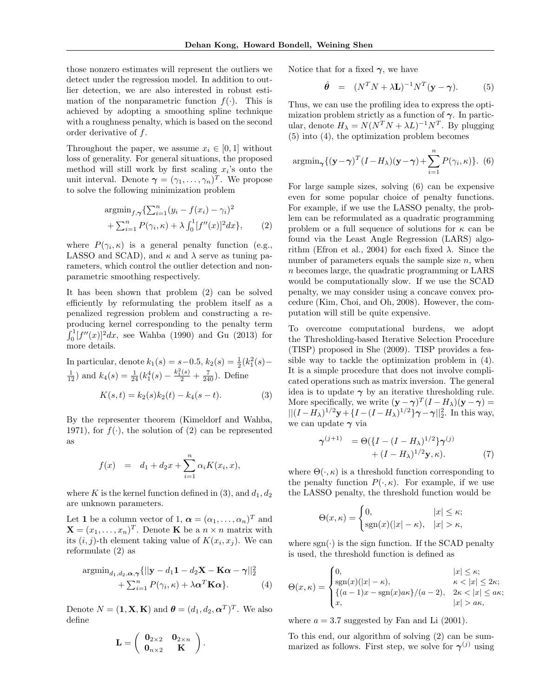those nonzero estimates will represent the outliers we detect under the regression model. In addition to outlier detection, we are also interested in robust estimation of the nonparametric function  $f(.)$ . This is achieved by adopting a smoothing spline technique with a roughness penalty, which is based on the second order derivative of f.

Throughout the paper, we assume  $x_i \in [0, 1]$  without loss of generality. For general situations, the proposed method will still work by first scaling  $x_i$ 's onto the unit interval. Denote  $\boldsymbol{\gamma} = (\gamma_1, \dots, \gamma_n)^T$ . We propose to solve the following minimization problem

$$
\underset{\text{argmin}_{f,\gamma}}{\text{argmin}_{f,\gamma}} \{ \sum_{i=1}^{n} (y_i - f(x_i) - \gamma_i)^2 + \sum_{i=1}^{n} P(\gamma_i, \kappa) + \lambda \int_0^1 [f''(x)]^2 dx \},\tag{2}
$$

where  $P(\gamma_i, \kappa)$  is a general penalty function (e.g., LASSO and SCAD), and  $\kappa$  and  $\lambda$  serve as tuning parameters, which control the outlier detection and nonparametric smoothing respectively.

It has been shown that problem (2) can be solved efficiently by reformulating the problem itself as a penalized regression problem and constructing a reproducing kernel corresponding to the penalty term  $\int_0^1 [f''(x)]^2 dx$ , see Wahba (1990) and Gu (2013) for more details.

In particular, denote  $k_1(s) = s - 0.5$ ,  $k_2(s) = \frac{1}{2}(k_1^2(s) \frac{1}{12}$  and  $k_4(s) = \frac{1}{24}(k_1^4(s) - \frac{k_1^2(s)}{2} + \frac{7}{240})$ . Define  $K(s,t) = k_2(s)k_2(t) - k_4(s-t).$  (3)

By the representer theorem (Kimeldorf and Wahba, 1971), for  $f(\cdot)$ , the solution of (2) can be represented as

$$
f(x) = d_1 + d_2 x + \sum_{i=1}^{n} \alpha_i K(x_i, x),
$$

where K is the kernel function defined in (3), and  $d_1, d_2$ are unknown parameters.

Let 1 be a column vector of 1,  $\boldsymbol{\alpha} = (\alpha_1, \dots, \alpha_n)^T$  and  $\mathbf{X} = (x_1, \dots, x_n)^T$ . Denote **K** be a  $n \times n$  matrix with its  $(i, j)$ -th element taking value of  $K(x_i, x_j)$ . We can reformulate (2) as

$$
\operatorname{argmin}_{d_1, d_2, \alpha, \gamma} \{ ||\mathbf{y} - d_1 \mathbf{1} - d_2 \mathbf{X} - \mathbf{K} \alpha - \gamma ||_2^2 + \sum_{i=1}^n P(\gamma_i, \kappa) + \lambda \alpha^T \mathbf{K} \alpha \}. \tag{4}
$$

Denote  $N = (\mathbf{1}, \mathbf{X}, \mathbf{K})$  and  $\boldsymbol{\theta} = (d_1, d_2, \boldsymbol{\alpha}^T)^T$ . We also define

$$
\mathbf{L} = \left( \begin{array}{cc} \mathbf{0}_{2\times 2} & \mathbf{0}_{2\times n} \\ \mathbf{0}_{n\times 2} & \mathbf{K} \end{array} \right).
$$

Notice that for a fixed  $\gamma$ , we have

$$
\hat{\theta} = (N^T N + \lambda \mathbf{L})^{-1} N^T (\mathbf{y} - \boldsymbol{\gamma}). \tag{5}
$$

Thus, we can use the profiling idea to express the optimization problem strictly as a function of  $\gamma$ . In particular, denote  $H_{\lambda} = N(N^T N + \lambda L)^{-1} N^T$ . By plugging (5) into (4), the optimization problem becomes

$$
\operatorname{argmin}_{\gamma} \{ (\mathbf{y} - \gamma)^{T} (I - H_{\lambda})(\mathbf{y} - \gamma) + \sum_{i=1}^{n} P(\gamma_{i}, \kappa) \}. (6)
$$

For large sample sizes, solving (6) can be expensive even for some popular choice of penalty functions. For example, if we use the LASSO penalty, the problem can be reformulated as a quadratic programming problem or a full sequence of solutions for  $\kappa$  can be found via the Least Angle Regression (LARS) algorithm (Efron et al., 2004) for each fixed  $\lambda$ . Since the number of parameters equals the sample size  $n$ , when n becomes large, the quadratic programming or LARS would be computationally slow. If we use the SCAD penalty, we may consider using a concave convex procedure (Kim, Choi, and Oh, 2008). However, the computation will still be quite expensive.

To overcome computational burdens, we adopt the Thresholding-based Iterative Selection Procedure (TISP) proposed in She (2009). TISP provides a feasible way to tackle the optimization problem in (4). It is a simple procedure that does not involve complicated operations such as matrix inversion. The general idea is to update  $\gamma$  by an iterative thresholding rule. More specifically, we write  $(\mathbf{y} - \boldsymbol{\gamma})^T (I - H_\lambda)(\mathbf{y} - \boldsymbol{\gamma}) =$  $||(I - H_{\lambda})^{1/2}y + \{I - (I - H_{\lambda})^{1/2}\}\gamma - \gamma||_2^2$ . In this way, we can update  $\gamma$  via

$$
\gamma^{(j+1)} = \Theta(\{I - (I - H_{\lambda})^{1/2}\}\gamma^{(j)} + (I - H_{\lambda})^{1/2}\mathbf{y}, \kappa).
$$
 (7)

where  $\Theta(\cdot,\kappa)$  is a threshold function corresponding to the penalty function  $P(\cdot,\kappa)$ . For example, if we use the LASSO penalty, the threshold function would be

$$
\Theta(x,\kappa) = \begin{cases} 0, & |x| \le \kappa; \\ \text{sgn}(x)(|x| - \kappa), & |x| > \kappa, \end{cases}
$$

where  $sgn(\cdot)$  is the sign function. If the SCAD penalty is used, the threshold function is defined as

$$
\Theta(x,\kappa) = \begin{cases} 0, & |x| \leq \kappa; \\ \text{sgn}(x)(|x| - \kappa), & \kappa < |x| \leq 2\kappa; \\ \{(a-1)x - \text{sgn}(x)a\kappa\}/(a-2), & 2\kappa < |x| \leq a\kappa; \\ x, & |x| > a\kappa, \end{cases}
$$

where  $a = 3.7$  suggested by Fan and Li  $(2001)$ .

To this end, our algorithm of solving (2) can be summarized as follows. First step, we solve for  $\gamma^{(j)}$  using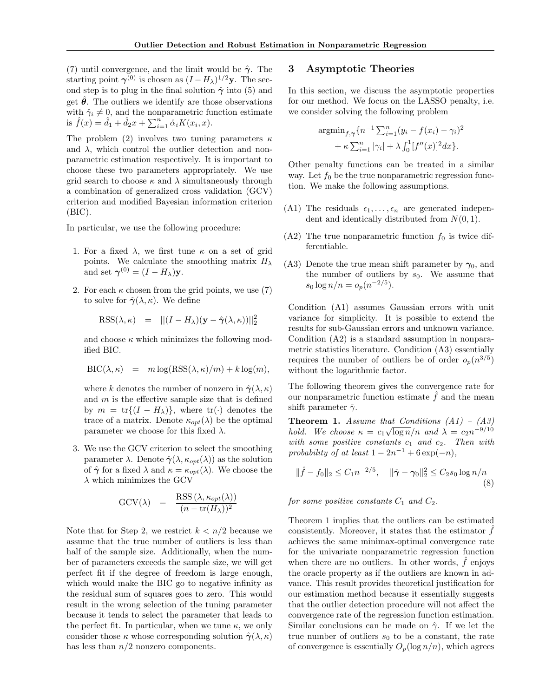(7) until convergence, and the limit would be  $\hat{\gamma}$ . The starting point  $\gamma^{(0)}$  is chosen as  $(I - H_\lambda)^{1/2}$ y. The second step is to plug in the final solution  $\hat{\gamma}$  into (5) and get  $\theta$ . The outliers we identify are those observations with  $\hat{\gamma}_i \neq 0$ , and the nonparametric function estimate is  $\hat{f}(x) = \hat{d}_1 + \hat{d}_2 x + \sum_{i=1}^n \hat{\alpha}_i K(x_i, x)$ .

The problem (2) involves two tuning parameters  $\kappa$ and  $\lambda$ , which control the outlier detection and nonparametric estimation respectively. It is important to choose these two parameters appropriately. We use grid search to choose  $\kappa$  and  $\lambda$  simultaneously through a combination of generalized cross validation (GCV) criterion and modified Bayesian information criterion  $(BIC).$ 

In particular, we use the following procedure:

- 1. For a fixed  $\lambda$ , we first tune  $\kappa$  on a set of grid points. We calculate the smoothing matrix  $H_{\lambda}$ and set  $\boldsymbol{\gamma}^{(0)} = (I - H_{\lambda}) \mathbf{y}$ .
- 2. For each  $\kappa$  chosen from the grid points, we use (7) to solve for  $\hat{\gamma}(\lambda,\kappa)$ . We define

$$
RSS(\lambda, \kappa) = ||(I - H_{\lambda})(\mathbf{y} - \hat{\boldsymbol{\gamma}}(\lambda, \kappa))||_2^2
$$

and choose  $\kappa$  which minimizes the following modified BIC.

$$
BIC(\lambda, \kappa) = m \log(RSS(\lambda, \kappa)/m) + k \log(m),
$$

where k denotes the number of nonzero in  $\hat{\gamma}(\lambda,\kappa)$ and  $m$  is the effective sample size that is defined by  $m = \text{tr}\{(I - H_{\lambda})\}\text{, where } \text{tr}(\cdot)$  denotes the trace of a matrix. Denote  $\kappa_{opt}(\lambda)$  be the optimal parameter we choose for this fixed  $\lambda$ .

3. We use the GCV criterion to select the smoothing parameter  $\lambda$ . Denote  $\hat{\gamma}(\lambda, \kappa_{opt}(\lambda))$  as the solution of  $\hat{\gamma}$  for a fixed  $\lambda$  and  $\kappa = \kappa_{opt}(\lambda)$ . We choose the  $\lambda$  which minimizes the GCV

$$
GCV(\lambda) = \frac{\text{RSS}(\lambda, \kappa_{opt}(\lambda))}{(n - \text{tr}(H_{\lambda}))^2}
$$

Note that for Step 2, we restrict  $k < n/2$  because we assume that the true number of outliers is less than half of the sample size. Additionally, when the number of parameters exceeds the sample size, we will get perfect fit if the degree of freedom is large enough, which would make the BIC go to negative infinity as the residual sum of squares goes to zero. This would result in the wrong selection of the tuning parameter because it tends to select the parameter that leads to the perfect fit. In particular, when we tune  $\kappa$ , we only consider those  $\kappa$  whose corresponding solution  $\hat{\gamma}(\lambda,\kappa)$ has less than  $n/2$  nonzero components.

#### 3 Asymptotic Theories

In this section, we discuss the asymptotic properties for our method. We focus on the LASSO penalty, i.e. we consider solving the following problem

$$
\operatorname{argmin}_{f,\gamma} \{ n^{-1} \sum_{i=1}^{n} (y_i - f(x_i) - \gamma_i)^2 + \kappa \sum_{i=1}^{n} |\gamma_i| + \lambda \int_0^1 [f''(x)]^2 dx \}.
$$

Other penalty functions can be treated in a similar way. Let  $f_0$  be the true nonparametric regression function. We make the following assumptions.

- (A1) The residuals  $\epsilon_1, \ldots, \epsilon_n$  are generated independent and identically distributed from  $N(0, 1)$ .
- (A2) The true nonparametric function  $f_0$  is twice differentiable.
- (A3) Denote the true mean shift parameter by  $\gamma_0$ , and the number of outliers by  $s_0$ . We assume that  $s_0 \log n/n = o_p(n^{-2/5}).$

Condition (A1) assumes Gaussian errors with unit variance for simplicity. It is possible to extend the results for sub-Gaussian errors and unknown variance. Condition (A2) is a standard assumption in nonparametric statistics literature. Condition (A3) essentially requires the number of outliers be of order  $o_p(n^{3/5})$ without the logarithmic factor.

The following theorem gives the convergence rate for our nonparametric function estimate  $f$  and the mean shift parameter  $\hat{\gamma}$ .

**Theorem 1.** Assume that Conditions  $(A1) - (A3)$ hold. We choose  $\kappa = c_1 \sqrt{\log n}/n$  and  $\lambda = c_2 n^{-9/10}$ with some positive constants  $c_1$  and  $c_2$ . Then with probability of at least  $1 - 2n^{-1} + 6 \exp(-n)$ ,

$$
\|\hat{f} - f_0\|_2 \le C_1 n^{-2/5}, \quad \|\hat{\gamma} - \gamma_0\|_2^2 \le C_2 s_0 \log n/n
$$
\n(8)

for some positive constants  $C_1$  and  $C_2$ .

Theorem 1 implies that the outliers can be estimated consistently. Moreover, it states that the estimator  $f$ achieves the same minimax-optimal convergence rate for the univariate nonparametric regression function when there are no outliers. In other words,  $\hat{f}$  enjoys the oracle property as if the outliers are known in advance. This result provides theoretical justification for our estimation method because it essentially suggests that the outlier detection procedure will not affect the convergence rate of the regression function estimation. Similar conclusions can be made on  $\hat{\gamma}$ . If we let the true number of outliers  $s_0$  to be a constant, the rate of convergence is essentially  $O_p(\log n/n)$ , which agrees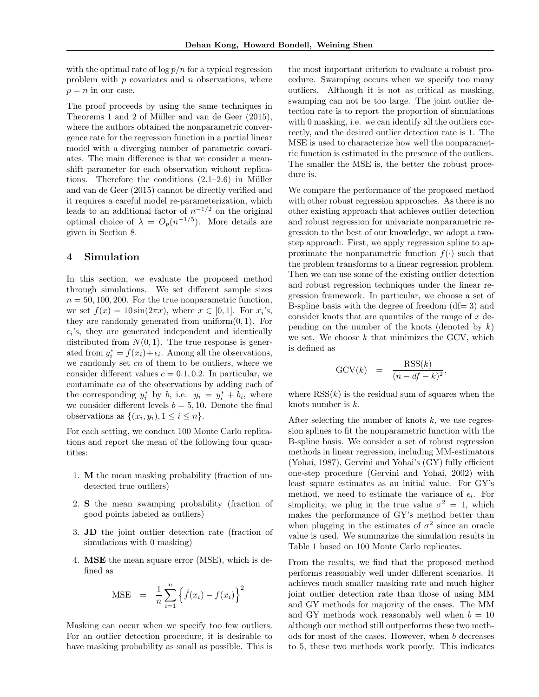with the optimal rate of  $\log p/n$  for a typical regression problem with  $p$  covariates and  $n$  observations, where  $p = n$  in our case.

The proof proceeds by using the same techniques in Theorems 1 and 2 of Müller and van de Geer (2015), where the authors obtained the nonparametric convergence rate for the regression function in a partial linear model with a diverging number of parametric covariates. The main difference is that we consider a meanshift parameter for each observation without replications. Therefore the conditions  $(2.1-2.6)$  in Müller and van de Geer (2015) cannot be directly verified and it requires a careful model re-parameterization, which leads to an additional factor of  $n^{-1/2}$  on the original optimal choice of  $\lambda = O_p(n^{-1/5})$ . More details are given in Section 8.

#### 4 Simulation

In this section, we evaluate the proposed method through simulations. We set different sample sizes  $n = 50, 100, 200$ . For the true nonparametric function, we set  $f(x) = 10\sin(2\pi x)$ , where  $x \in [0, 1]$ . For  $x_i$ 's, they are randomly generated from uniform $(0, 1)$ . For  $\epsilon_i$ 's, they are generated independent and identically distributed from  $N(0, 1)$ . The true response is generated from  $y_i^* = f(x_i) + \epsilon_i$ . Among all the observations, we randomly set  $cn$  of them to be outliers, where we consider different values  $c = 0.1, 0.2$ . In particular, we contaminate cn of the observations by adding each of the corresponding  $y_i^*$  by b, i.e.  $y_i = y_i^* + b_i$ , where we consider different levels  $b = 5, 10$ . Denote the final observations as  $\{(x_i, y_i), 1 \leq i \leq n\}.$ 

For each setting, we conduct 100 Monte Carlo replications and report the mean of the following four quantities:

- 1. M the mean masking probability (fraction of undetected true outliers)
- 2. S the mean swamping probability (fraction of good points labeled as outliers)
- 3. JD the joint outlier detection rate (fraction of simulations with 0 masking)
- 4. MSE the mean square error (MSE), which is defined as

$$
\text{MSE} = \frac{1}{n} \sum_{i=1}^{n} \left\{ \hat{f}(x_i) - f(x_i) \right\}^2
$$

Masking can occur when we specify too few outliers. For an outlier detection procedure, it is desirable to have masking probability as small as possible. This is the most important criterion to evaluate a robust procedure. Swamping occurs when we specify too many outliers. Although it is not as critical as masking, swamping can not be too large. The joint outlier detection rate is to report the proportion of simulations with 0 masking, i.e. we can identify all the outliers correctly, and the desired outlier detection rate is 1. The MSE is used to characterize how well the nonparametric function is estimated in the presence of the outliers. The smaller the MSE is, the better the robust procedure is.

We compare the performance of the proposed method with other robust regression approaches. As there is no other existing approach that achieves outlier detection and robust regression for univariate nonparametric regression to the best of our knowledge, we adopt a twostep approach. First, we apply regression spline to approximate the nonparametric function  $f(\cdot)$  such that the problem transforms to a linear regression problem. Then we can use some of the existing outlier detection and robust regression techniques under the linear regression framework. In particular, we choose a set of B-spline basis with the degree of freedom  $(df= 3)$  and consider knots that are quantiles of the range of  $x$  depending on the number of the knots (denoted by  $k$ ) we set. We choose  $k$  that minimizes the GCV, which is defined as

$$
GCV(k) = \frac{RSS(k)}{(n - df - k)^2},
$$

where  $RSS(k)$  is the residual sum of squares when the knots number is k.

After selecting the number of knots  $k$ , we use regression splines to fit the nonparametric function with the B-spline basis. We consider a set of robust regression methods in linear regression, including MM-estimators (Yohai, 1987), Gervini and Yohai's (GY) fully efficient one-step procedure (Gervini and Yohai, 2002) with least square estimates as an initial value. For GY's method, we need to estimate the variance of  $\epsilon_i$ . For simplicity, we plug in the true value  $\sigma^2 = 1$ , which makes the performance of GY's method better than when plugging in the estimates of  $\sigma^2$  since an oracle value is used. We summarize the simulation results in Table 1 based on 100 Monte Carlo replicates.

From the results, we find that the proposed method performs reasonably well under different scenarios. It achieves much smaller masking rate and much higher joint outlier detection rate than those of using MM and GY methods for majority of the cases. The MM and GY methods work reasonably well when  $b = 10$ although our method still outperforms these two methods for most of the cases. However, when b decreases to 5, these two methods work poorly. This indicates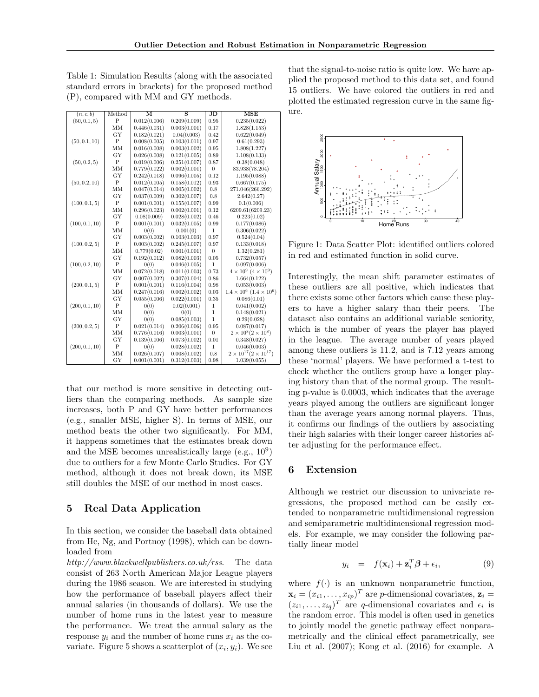)

Table 1: Simulation Results (along with the associated standard errors in brackets) for the proposed method (P), compared with MM and GY methods.

| (n, c, b)      | Method         | $\overline{\mathbf{M}}$ | $\overline{\mathbf{s}}$ | $_{\rm JD}$    | MSE                                   |
|----------------|----------------|-------------------------|-------------------------|----------------|---------------------------------------|
| (50, 0.1, 5)   | $\mathbf P$    | 0.012(0.006)            | 0.209(0.009)            | 0.95           | 0.235(0.022)                          |
|                | MM             | 0.446(0.031)            | 0.003(0.001)            | 0.17           | 1.828(1.153)                          |
|                | GY             | 0.182(0.021)            | 0.04(0.003)             | 0.42           | 0.622(0.049)                          |
| (50, 0.1, 10)  | $\overline{P}$ | 0.008(0.005)            | 0.103(0.011)            | 0.97           | 0.61(0.293)                           |
|                | MM             | 0.016(0.008)            | 0.003(0.002)            | 0.95           | 1.808(1.227)                          |
|                | GY             | 0.026(0.008)            | 0.121(0.005)            | 0.89           | 1.108(0.133)                          |
| (50, 0.2, 5)   | $\mathbf P$    | 0.019(0.006)            | 0.251(0.007)            | 0.87           | 0.38(0.048)                           |
|                | MM             | 0.779(0.022)            | 0.002(0.001)            | $\overline{0}$ | 83.938(78.204)                        |
|                | GY             | 0.242(0.018)            | 0.096(0.005)            | 0.12           | 1.195(0.088)                          |
| (50, 0.2, 10)  | $\overline{P}$ | 0.012(0.005)            | 0.158(0.012)            | 0.93           | 0.667(0.175)                          |
|                | MM             | 0.047(0.014)            | 0.005(0.002)            | 0.8            | 271.046(266.292)                      |
|                | GY             | 0.037(0.009)            | 0.302(0.007)            | 0.8            | 2.642(0.27)                           |
| (100, 0.1, 5)  | $\overline{P}$ | 0.001(0.001)            | 0.155(0.007)            | 0.99           | 0.1(0.006)                            |
|                | ΜМ             | 0.296(0.023)            | 0.002(0.001)            | 0.12           | 6209.61(6209.23)                      |
|                | GY             | 0.08(0.009)             | 0.028(0.002)            | 0.46           | 0.223(0.02)                           |
| (100, 0.1, 10) | $\overline{P}$ | 0.001(0.001)            | 0.032(0.005)            | 0.99           | 0.177(0.086)                          |
|                | MM             | 0(0)                    | 0.001(0)                | $\mathbf{1}$   | 0.306(0.022)                          |
|                | GY             | 0.003(0.002)            | 0.103(0.003)            | 0.97           | 0.524(0.04)                           |
| (100, 0.2, 5)  | $\mathbf P$    | 0.003(0.002)            | 0.245(0.007)            | 0.97           | 0.133(0.018)                          |
|                | ΜМ             | 0.779(0.02)             | 0.001(0.001)            | $\overline{0}$ | 1.32(0.281)                           |
|                | GY             | 0.192(0.012)            | 0.082(0.003)            | 0.05           | 0.732(0.057)                          |
| (100, 0.2, 10) | P              | 0(0)                    | 0.046(0.005)            | $\mathbf{1}$   | 0.097(0.006)                          |
|                | МM             | 0.072(0.018)            | 0.011(0.003)            | 0.73           | $4 \times 10^9$ $(4 \times 10^9)$     |
|                | GY             | 0.007(0.002)            | 0.307(0.004)            | 0.86           | 1.664(0.122)                          |
| (200, 0.1, 5)  | $\overline{P}$ | 0.001(0.001)            | 0.116(0.004)            | 0.98           | 0.053(0.003)                          |
|                | MM             | 0.247(0.016)            | 0.002(0.002)            | 0.03           | $1.4 \times 10^6$ $(1.4 \times 10^6)$ |
|                | GY             | 0.055(0.006)            | 0.022(0.001)            | 0.35           | 0.086(0.01)                           |
| (200, 0.1, 10) | $\overline{P}$ | 0(0)                    | 0.02(0.001)             | $\mathbf 1$    | 0.041(0.002)                          |
|                | MМ             | 0(0)                    | 0(0)                    | $\mathbf{1}$   | 0.148(0.021)                          |
|                | GY             | 0(0)                    | 0.085(0.003)            | $\mathbf{1}$   | 0.29(0.028)                           |
| (200, 0.2, 5)  | $\overline{P}$ | 0.021(0.014)            | 0.206(0.006)            | 0.95           | 0.087(0.017)                          |
|                | MM             | 0.776(0.016)            | 0.003(0.001)            | $\overline{0}$ | $2 \times 10^8 (2 \times 10^8)$       |
|                | GY             | 0.139(0.006)            | 0.073(0.002)            | 0.01           | 0.348(0.027)                          |
| (200, 0.1, 10) | $\overline{P}$ | 0(0)                    | 0.028(0.002)            | $\mathbf{1}$   | 0.046(0.003)                          |
|                | MМ             | 0.026(0.007)            | 0.008(0.002)            | 0.8            | $2 \times 10^{17} (2 \times 10^{17})$ |
|                | GY             | 0.001(0.001)            | 0.312(0.003)            | 0.98           | 1.039(0.055)                          |

that our method is more sensitive in detecting outliers than the comparing methods. As sample size increases, both P and GY have better performances (e.g., smaller MSE, higher S). In terms of MSE, our method beats the other two significantly. For MM, it happens sometimes that the estimates break down and the MSE becomes unrealistically large (e.g.,  $10^9$ ) due to outliers for a few Monte Carlo Studies. For GY method, although it does not break down, its MSE still doubles the MSE of our method in most cases.

## 5 Real Data Application

In this section, we consider the baseball data obtained from He, Ng, and Portnoy (1998), which can be downloaded from

http://www.blackwellpublishers.co.uk/rss. The data consist of 263 North American Major League players during the 1986 season. We are interested in studying how the performance of baseball players affect their annual salaries (in thousands of dollars). We use the number of home runs in the latest year to measure the performance. We treat the annual salary as the response  $y_i$  and the number of home runs  $x_i$  as the covariate. Figure 5 shows a scatterplot of  $(x_i, y_i)$ . We see

that the signal-to-noise ratio is quite low. We have applied the proposed method to this data set, and found 15 outliers. We have colored the outliers in red and plotted the estimated regression curve in the same figure.



Figure 1: Data Scatter Plot: identified outliers colored in red and estimated function in solid curve.

Interestingly, the mean shift parameter estimates of these outliers are all positive, which indicates that there exists some other factors which cause these players to have a higher salary than their peers. The dataset also contains an additional variable seniority, which is the number of years the player has played in the league. The average number of years played among these outliers is 11.2, and is 7.12 years among these 'normal' players. We have performed a t-test to check whether the outliers group have a longer playing history than that of the normal group. The resulting p-value is 0.0003, which indicates that the average years played among the outliers are significant longer than the average years among normal players. Thus, it confirms our findings of the outliers by associating their high salaries with their longer career histories after adjusting for the performance effect.

## 6 Extension

Although we restrict our discussion to univariate regressions, the proposed method can be easily extended to nonparametric multidimensional regression and semiparametric multidimensional regression models. For example, we may consider the following partially linear model

$$
y_i = f(\mathbf{x}_i) + \mathbf{z}_i^T \boldsymbol{\beta} + \epsilon_i, \tag{9}
$$

where  $f(\cdot)$  is an unknown nonparametric function,  $\mathbf{x}_i = (x_{i1}, \dots, x_{ip})^T$  are *p*-dimensional covariates,  $\mathbf{z}_i =$  $(z_{i1},...,z_{iq})^T$  are q-dimensional covariates and  $\epsilon_i$  is the random error. This model is often used in genetics to jointly model the genetic pathway effect nonparametrically and the clinical effect parametrically, see Liu et al. (2007); Kong et al. (2016) for example. A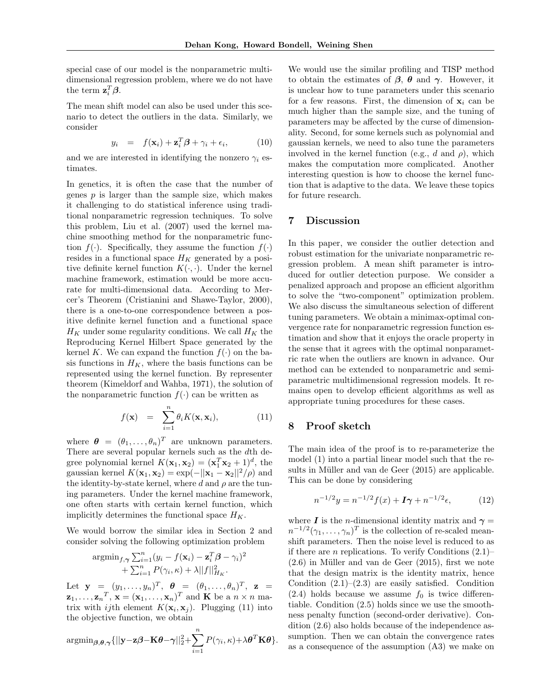special case of our model is the nonparametric multidimensional regression problem, where we do not have the term  $\mathbf{z}_i^T \boldsymbol{\beta}$ .

The mean shift model can also be used under this scenario to detect the outliers in the data. Similarly, we consider

$$
y_i = f(\mathbf{x}_i) + \mathbf{z}_i^T \boldsymbol{\beta} + \gamma_i + \epsilon_i, \qquad (10)
$$

and we are interested in identifying the nonzero  $\gamma_i$  estimates.

In genetics, it is often the case that the number of genes  $p$  is larger than the sample size, which makes it challenging to do statistical inference using traditional nonparametric regression techniques. To solve this problem, Liu et al. (2007) used the kernel machine smoothing method for the nonparametric function  $f(\cdot)$ . Specifically, they assume the function  $f(\cdot)$ resides in a functional space  $H_K$  generated by a positive definite kernel function  $K(\cdot, \cdot)$ . Under the kernel machine framework, estimation would be more accurate for multi-dimensional data. According to Mercer's Theorem (Cristianini and Shawe-Taylor, 2000), there is a one-to-one correspondence between a positive definite kernel function and a functional space  $H_K$  under some regularity conditions. We call  $H_K$  the Reproducing Kernel Hilbert Space generated by the kernel K. We can expand the function  $f(\cdot)$  on the basis functions in  $H_K$ , where the basis functions can be represented using the kernel function. By representer theorem (Kimeldorf and Wahba, 1971), the solution of the nonparametric function  $f(.)$  can be written as

$$
f(\mathbf{x}) = \sum_{i=1}^{n} \theta_i K(\mathbf{x}, \mathbf{x}_i), \qquad (11)
$$

where  $\boldsymbol{\theta} = (\theta_1, \dots, \theta_n)^T$  are unknown parameters. There are several popular kernels such as the dth degree polynomial kernel  $K(\mathbf{x}_1, \mathbf{x}_2) = (\mathbf{x}_1^T \mathbf{x}_2 + 1)^d$ , the gaussian kernel  $K(\mathbf{x}_1, \mathbf{x}_2) = \exp(-||\mathbf{x}_1 - \mathbf{x}_2||^2/\rho)$  and the identity-by-state kernel, where d and  $\rho$  are the tuning parameters. Under the kernel machine framework, one often starts with certain kernel function, which implicitly determines the functional space  $H_K$ .

We would borrow the similar idea in Section 2 and consider solving the following optimization problem

$$
\operatorname{argmin}_{f,\boldsymbol{\gamma}} \sum_{i=1}^n (y_i - f(\mathbf{x}_i) - \mathbf{z}_i^T \boldsymbol{\beta} - \gamma_i)^2 + \sum_{i=1}^n P(\gamma_i, \kappa) + \lambda ||f||_{H_K}^2.
$$

Let  $\mathbf{y} = (y_1, \ldots, y_n)^T$ ,  $\boldsymbol{\theta} = (\theta_1, \ldots, \theta_n)^T$ ,  $\mathbf{z} =$  $\mathbf{z}_1, \ldots, \mathbf{z}_n^T, \mathbf{x} = (\mathbf{x}_1, \ldots, \mathbf{x}_n)^T$  and  $\mathbf{K}$  be a  $n \times n$  matrix with *ij*th element  $K(\mathbf{x}_i, \mathbf{x}_j)$ . Plugging (11) into the objective function, we obtain

$$
\mathrm{argmin}_{\boldsymbol{\beta}, \boldsymbol{\theta}, \boldsymbol{\gamma}} \{ ||\mathbf{y} - \mathbf{z}\boldsymbol{\beta} - \mathbf{K}\boldsymbol{\theta} - \boldsymbol{\gamma}||_2^2 + \sum_{i=1}^n P(\gamma_i, \kappa) + \lambda \boldsymbol{\theta}^T \mathbf{K}\boldsymbol{\theta} \}.
$$

We would use the similar profiling and TISP method to obtain the estimates of  $\beta$ ,  $\theta$  and  $\gamma$ . However, it is unclear how to tune parameters under this scenario for a few reasons. First, the dimension of  $x_i$  can be much higher than the sample size, and the tuning of parameters may be affected by the curse of dimensionality. Second, for some kernels such as polynomial and gaussian kernels, we need to also tune the parameters involved in the kernel function (e.g., d and  $\rho$ ), which makes the computation more complicated. Another interesting question is how to choose the kernel function that is adaptive to the data. We leave these topics for future research.

#### 7 Discussion

In this paper, we consider the outlier detection and robust estimation for the univariate nonparametric regression problem. A mean shift parameter is introduced for outlier detection purpose. We consider a penalized approach and propose an efficient algorithm to solve the "two-component" optimization problem. We also discuss the simultaneous selection of different tuning parameters. We obtain a minimax-optimal convergence rate for nonparametric regression function estimation and show that it enjoys the oracle property in the sense that it agrees with the optimal nonparametric rate when the outliers are known in advance. Our method can be extended to nonparametric and semiparametric multidimensional regression models. It remains open to develop efficient algorithms as well as appropriate tuning procedures for these cases.

#### 8 Proof sketch

The main idea of the proof is to re-parameterize the model (1) into a partial linear model such that the results in Müller and van de Geer (2015) are applicable. This can be done by considering

$$
n^{-1/2}y = n^{-1/2}f(x) + I\gamma + n^{-1/2}\epsilon,
$$
 (12)

where I is the *n*-dimensional identity matrix and  $\gamma =$  $n^{-1/2}(\gamma_1,\ldots,\gamma_n)^T$  is the collection of re-scaled meanshift parameters. Then the noise level is reduced to as if there are *n* replications. To verify Conditions  $(2.1)$ –  $(2.6)$  in Müller and van de Geer  $(2015)$ , first we note that the design matrix is the identity matrix, hence Condition  $(2.1)$ – $(2.3)$  are easily satisfied. Condition  $(2.4)$  holds because we assume  $f_0$  is twice differentiable. Condition (2.5) holds since we use the smoothness penalty function (second-order derivative). Condition (2.6) also holds because of the independence assumption. Then we can obtain the convergence rates as a consequence of the assumption (A3) we make on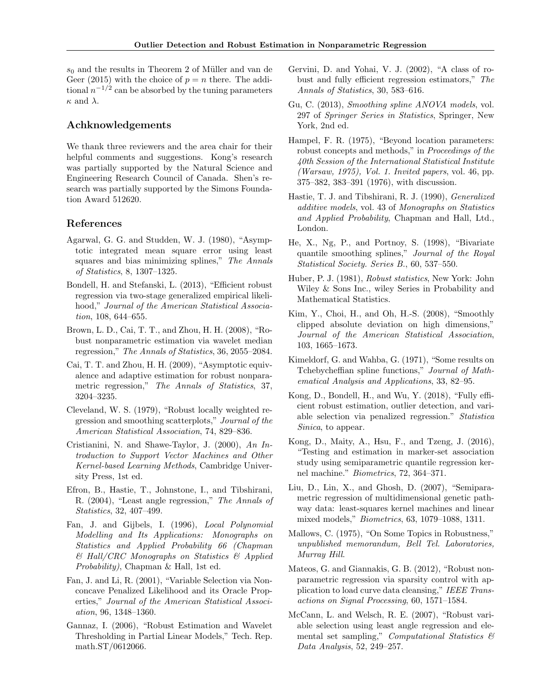$s_0$  and the results in Theorem 2 of Müller and van de Geer (2015) with the choice of  $p = n$  there. The additional  $n^{-1/2}$  can be absorbed by the tuning parameters  $\kappa$  and  $\lambda$ .

## Achknowledgements

We thank three reviewers and the area chair for their helpful comments and suggestions. Kong's research was partially supported by the Natural Science and Engineering Research Council of Canada. Shen's research was partially supported by the Simons Foundation Award 512620.

## References

- Agarwal, G. G. and Studden, W. J. (1980), "Asymptotic integrated mean square error using least squares and bias minimizing splines," The Annals of Statistics, 8, 1307–1325.
- Bondell, H. and Stefanski, L. (2013), "Efficient robust regression via two-stage generalized empirical likelihood," Journal of the American Statistical Association, 108, 644–655.
- Brown, L. D., Cai, T. T., and Zhou, H. H. (2008), "Robust nonparametric estimation via wavelet median regression," The Annals of Statistics, 36, 2055–2084.
- Cai, T. T. and Zhou, H. H. (2009), "Asymptotic equivalence and adaptive estimation for robust nonparametric regression," The Annals of Statistics, 37, 3204–3235.
- Cleveland, W. S. (1979), "Robust locally weighted regression and smoothing scatterplots," Journal of the American Statistical Association, 74, 829–836.
- Cristianini, N. and Shawe-Taylor, J. (2000), An Introduction to Support Vector Machines and Other Kernel-based Learning Methods, Cambridge University Press, 1st ed.
- Efron, B., Hastie, T., Johnstone, I., and Tibshirani, R. (2004), "Least angle regression," The Annals of Statistics, 32, 407–499.
- Fan, J. and Gijbels, I. (1996), Local Polynomial Modelling and Its Applications: Monographs on Statistics and Applied Probability 66 (Chapman  $& Hall/CRC$  Monographs on Statistics  $& Applied$ Probability), Chapman & Hall, 1st ed.
- Fan, J. and Li, R. (2001), "Variable Selection via Nonconcave Penalized Likelihood and its Oracle Properties," Journal of the American Statistical Association, 96, 1348–1360.
- Gannaz, I. (2006), "Robust Estimation and Wavelet Thresholding in Partial Linear Models," Tech. Rep. math.ST/0612066.
- Gervini, D. and Yohai, V. J. (2002), "A class of robust and fully efficient regression estimators," The Annals of Statistics, 30, 583–616.
- Gu, C. (2013), Smoothing spline ANOVA models, vol. 297 of Springer Series in Statistics, Springer, New York, 2nd ed.
- Hampel, F. R. (1975), "Beyond location parameters: robust concepts and methods," in Proceedings of the 40th Session of the International Statistical Institute (Warsaw, 1975), Vol. 1. Invited papers, vol. 46, pp. 375–382, 383–391 (1976), with discussion.
- Hastie, T. J. and Tibshirani, R. J. (1990), Generalized additive models, vol. 43 of Monographs on Statistics and Applied Probability, Chapman and Hall, Ltd., London.
- He, X., Ng, P., and Portnoy, S. (1998), "Bivariate quantile smoothing splines," Journal of the Royal Statistical Society. Series B., 60, 537–550.
- Huber, P. J. (1981), Robust statistics, New York: John Wiley & Sons Inc., wiley Series in Probability and Mathematical Statistics.
- Kim, Y., Choi, H., and Oh, H.-S. (2008), "Smoothly clipped absolute deviation on high dimensions," Journal of the American Statistical Association, 103, 1665–1673.
- Kimeldorf, G. and Wahba, G. (1971), "Some results on Tchebycheffian spline functions," Journal of Mathematical Analysis and Applications, 33, 82–95.
- Kong, D., Bondell, H., and Wu, Y. (2018), "Fully efficient robust estimation, outlier detection, and variable selection via penalized regression." Statistica Sinica, to appear.
- Kong, D., Maity, A., Hsu, F., and Tzeng, J. (2016), "Testing and estimation in marker-set association study using semiparametric quantile regression kernel machine." Biometrics, 72, 364–371.
- Liu, D., Lin, X., and Ghosh, D. (2007), "Semiparametric regression of multidimensional genetic pathway data: least-squares kernel machines and linear mixed models," Biometrics, 63, 1079–1088, 1311.
- Mallows, C. (1975), "On Some Topics in Robustness," unpublished memorandum, Bell Tel. Laboratories, Murray Hill.
- Mateos, G. and Giannakis, G. B. (2012), "Robust nonparametric regression via sparsity control with application to load curve data cleansing," IEEE Transactions on Signal Processing, 60, 1571–1584.
- McCann, L. and Welsch, R. E. (2007), "Robust variable selection using least angle regression and elemental set sampling," Computational Statistics  $\mathcal{B}$ Data Analysis, 52, 249–257.